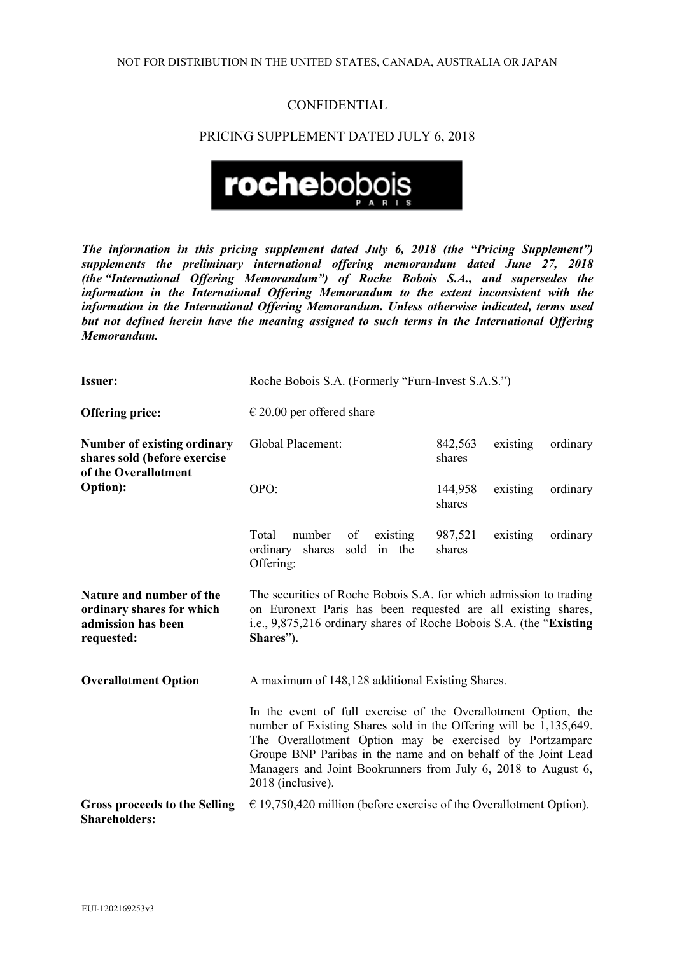## **CONFIDENTIAL**

## PRICING SUPPLEMENT DATED JULY 6, 2018



*The information in this pricing supplement dated July 6, 2018 (the "Pricing Supplement") supplements the preliminary international offering memorandum dated June 27, 2018 (the "International Offering Memorandum") of Roche Bobois S.A., and supersedes the information in the International Offering Memorandum to the extent inconsistent with the information in the International Offering Memorandum. Unless otherwise indicated, terms used but not defined herein have the meaning assigned to such terms in the International Offering Memorandum.*

| <b>Issuer:</b>                                                                                         | Roche Bobois S.A. (Formerly "Furn-Invest S.A.S.")                                                                                                                                                                                                                                                                                                       |                   |          |          |  |
|--------------------------------------------------------------------------------------------------------|---------------------------------------------------------------------------------------------------------------------------------------------------------------------------------------------------------------------------------------------------------------------------------------------------------------------------------------------------------|-------------------|----------|----------|--|
| <b>Offering price:</b>                                                                                 | $\epsilon$ 20.00 per offered share                                                                                                                                                                                                                                                                                                                      |                   |          |          |  |
| <b>Number of existing ordinary</b><br>shares sold (before exercise<br>of the Overallotment<br>Option): | Global Placement:                                                                                                                                                                                                                                                                                                                                       | 842,563<br>shares | existing | ordinary |  |
|                                                                                                        | OPO:                                                                                                                                                                                                                                                                                                                                                    | 144,958<br>shares | existing | ordinary |  |
|                                                                                                        | Total<br>number<br>of<br>existing<br>sold in the<br>ordinary<br>shares<br>Offering:                                                                                                                                                                                                                                                                     | 987,521<br>shares | existing | ordinary |  |
| Nature and number of the<br>ordinary shares for which<br>admission has been<br>requested:              | The securities of Roche Bobois S.A. for which admission to trading<br>on Euronext Paris has been requested are all existing shares,<br>i.e., 9,875,216 ordinary shares of Roche Bobois S.A. (the "Existing"<br>Shares").                                                                                                                                |                   |          |          |  |
| <b>Overallotment Option</b>                                                                            | A maximum of 148,128 additional Existing Shares.                                                                                                                                                                                                                                                                                                        |                   |          |          |  |
|                                                                                                        | In the event of full exercise of the Overallotment Option, the<br>number of Existing Shares sold in the Offering will be 1,135,649.<br>The Overallotment Option may be exercised by Portzamparc<br>Groupe BNP Paribas in the name and on behalf of the Joint Lead<br>Managers and Joint Bookrunners from July 6, 2018 to August 6,<br>2018 (inclusive). |                   |          |          |  |
| <b>Gross proceeds to the Selling</b><br><b>Shareholders:</b>                                           | $\epsilon$ 19,750,420 million (before exercise of the Overallotment Option).                                                                                                                                                                                                                                                                            |                   |          |          |  |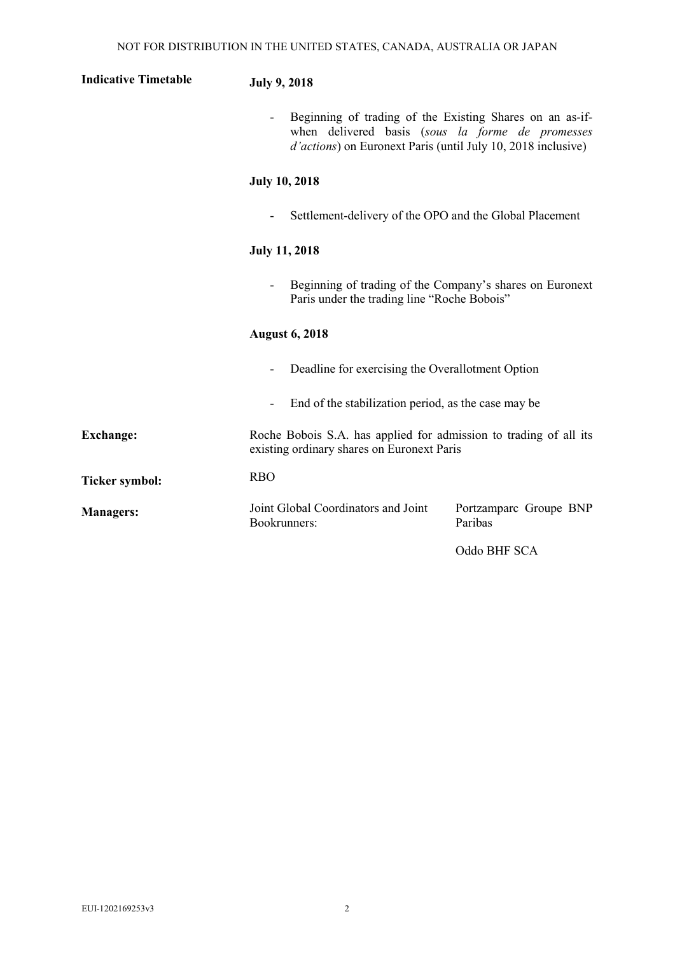| <b>Indicative Timetable</b> | <b>July 9, 2018</b>                                                                                                                                                                  |  |  |
|-----------------------------|--------------------------------------------------------------------------------------------------------------------------------------------------------------------------------------|--|--|
|                             | Beginning of trading of the Existing Shares on an as-if-<br>when delivered basis (sous la forme de promesses<br><i>d'actions</i> ) on Euronext Paris (until July 10, 2018 inclusive) |  |  |
|                             | <b>July 10, 2018</b>                                                                                                                                                                 |  |  |
|                             | Settlement-delivery of the OPO and the Global Placement                                                                                                                              |  |  |
|                             | <b>July 11, 2018</b>                                                                                                                                                                 |  |  |
|                             | Beginning of trading of the Company's shares on Euronext<br>Paris under the trading line "Roche Bobois"                                                                              |  |  |
|                             | <b>August 6, 2018</b>                                                                                                                                                                |  |  |
|                             | Deadline for exercising the Overallotment Option                                                                                                                                     |  |  |
|                             | End of the stabilization period, as the case may be                                                                                                                                  |  |  |
| <b>Exchange:</b>            | Roche Bobois S.A. has applied for admission to trading of all its<br>existing ordinary shares on Euronext Paris                                                                      |  |  |
| <b>Ticker symbol:</b>       | <b>RBO</b>                                                                                                                                                                           |  |  |
| <b>Managers:</b>            | Joint Global Coordinators and Joint<br>Portzamparc Groupe BNP<br>Paribas<br>Bookrunners:                                                                                             |  |  |

Oddo BHF SCA